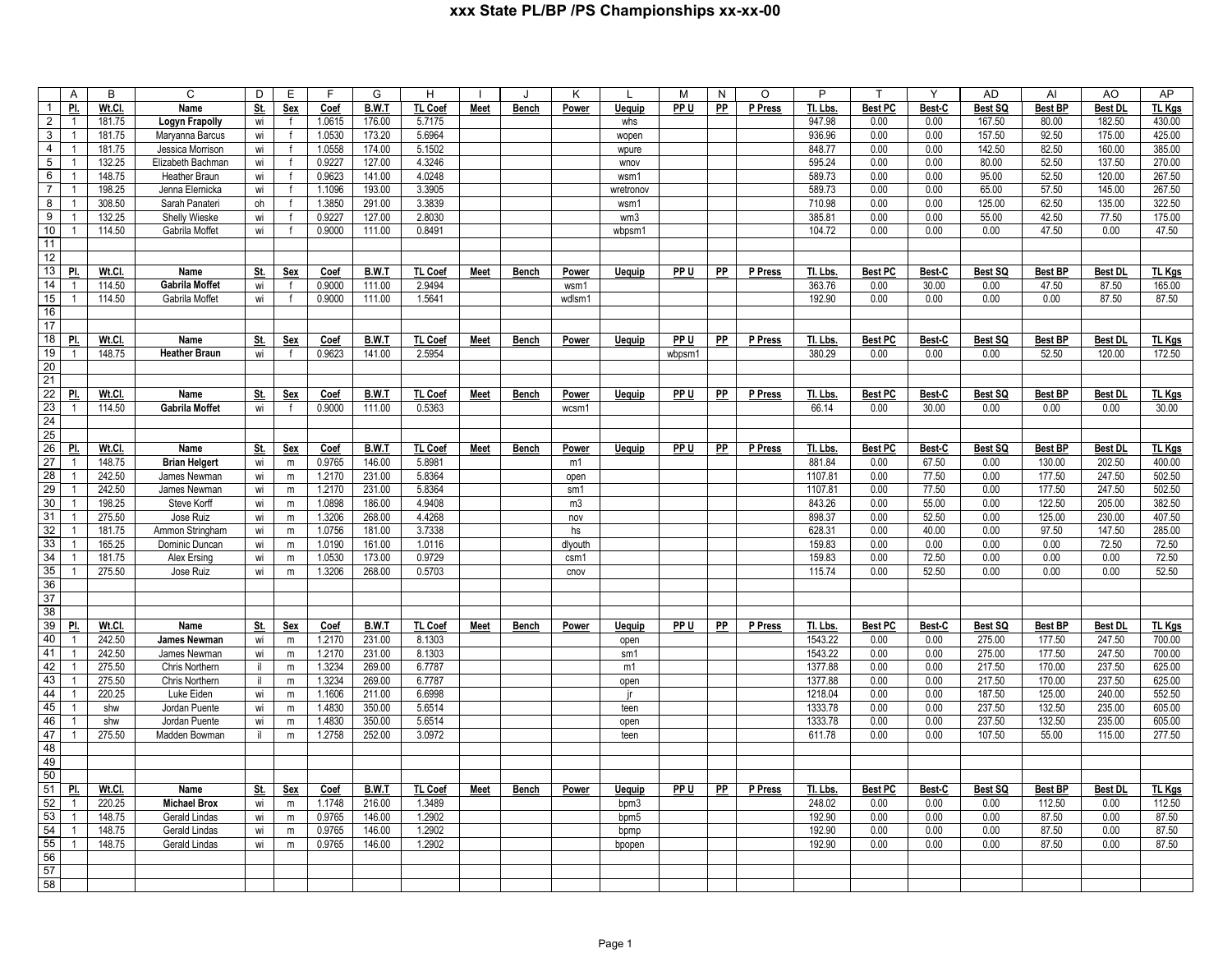## **xxx State PL/BP /PS Championships xx-xx-00**

| $\overline{A}$                         |                  | C                                 | D          | E            | F                | G                | H                |             |              | K               |               | М      | N         | $\circ$ | P                |                | $\checkmark$  | <b>AD</b>    | AI             | AO              | AP               |
|----------------------------------------|------------------|-----------------------------------|------------|--------------|------------------|------------------|------------------|-------------|--------------|-----------------|---------------|--------|-----------|---------|------------------|----------------|---------------|--------------|----------------|-----------------|------------------|
| $\mathbf{1}$<br>PI.                    | Wt.Cl.           | Name                              | St.        | <b>Sex</b>   | Coef             | <b>B.W.T</b>     | TL Coef          | <b>Meet</b> | <b>Bench</b> | Power           | <u>Jequip</u> | PP U   | PP        | P Press | TI. Lbs          | <b>Best PC</b> | Best-C        | Best SQ      | <b>Best BP</b> | <u>Best Dl</u>  | <b>TL Kgs</b>    |
| $\overline{2}$<br>$\overline{1}$       | 181.75           | Logyn Frapolly                    | wi         | $\mathsf{f}$ | 1.0615           | 176.00           | 5.7175           |             |              |                 | whs           |        |           |         | 947.98           | 0.00           | 0.00          | 167.50       | 80.00          | 182.50          | 430.00           |
| 3<br>$\mathbf{1}$                      | 181.75           | Maryanna Barcus                   | wi         | $\mathsf{f}$ | 1.0530           | 173.20           | 5.6964           |             |              |                 | wopen         |        |           |         | 936.96           | 0.00           | 0.00          | 157.50       | 92.50          | 175.00          | 425.00           |
| 4<br>$\overline{1}$                    | 181.75           | Jessica Morrison                  | wi         | $\mathsf{f}$ | 1.0558           | 174.00           | 5.1502           |             |              |                 | wpure         |        |           |         | 848.77           | 0.00           | 0.00          | 142.50       | 82.50          | 160.00          | 385.00           |
| 5<br>$\overline{1}$                    | 132.25           | Elizabeth Bachman                 | wi         | $\mathsf{f}$ | 0.9227           | 127.00           | 4.3246           |             |              |                 | wnov          |        |           |         | 595.24           | 0.00           | 0.00          | 80.00        | 52.50          | 137.50          | 270.00           |
| 6<br>$\overline{1}$                    | 148.75           | Heather Braun                     | wi         | f            | 0.9623           | 141.00           | 4.0248           |             |              |                 | wsm1          |        |           |         | 589.73           | 0.00           | 0.00          | 95.00        | 52.50          | 120.00          | 267.50           |
| $\overline{7}$<br>$\overline{1}$       | 198.25           | Jenna Elernicka                   | wi         | $\mathsf{f}$ | 1.1096           | 193.00           | 3.3905           |             |              |                 | wretronov     |        |           |         | 589.73           | 0.00           | 0.00          | 65.00        | 57.50          | 145.00          | 267.50           |
| 8<br>$\overline{1}$                    | 308.50           | Sarah Panateri                    | oh         | $\mathsf{f}$ | 1.3850           | 291.00           | 3.3839           |             |              |                 | wsm1          |        |           |         | 710.98           | 0.00           | 0.00          | 125.00       | 62.50          | 135.00          | 322.50           |
| 9<br>$\overline{1}$                    | 132.25           | Shelly Wieske                     | wi         |              | 0.9227           | 127.00           | 2.8030           |             |              |                 | wm3           |        |           |         | 385.81           | 0.00           | 0.00          | 55.00        | 42.50          | 77.50           | 175.00           |
| 10<br>-1                               | 114.50           | Gabrila Moffet                    | wi         | f            | 0.9000           | 111.00           | 0.8491           |             |              |                 | wbpsm1        |        |           |         | 104.72           | 0.00           | 0.00          | 0.00         | 47.50          | 0.00            | 47.50            |
| 11                                     |                  |                                   |            |              |                  |                  |                  |             |              |                 |               |        |           |         |                  |                |               |              |                |                 |                  |
| 12                                     |                  |                                   |            |              |                  |                  |                  |             |              |                 |               |        |           |         |                  |                |               |              |                |                 |                  |
| 13<br>PI.                              | Wt.Cl.           | Name                              | St.        | Sex          | Coef             | B.W.T            | TL Coef          | Meet        | Bench        | Power           | Uequip        | PP U   | PP        | P Press | Tl. Lbs.         | <b>Best PC</b> | Best-C        | Best SQ      | <b>Best BP</b> | Best DL         | TL Kgs           |
| 14<br>$\overline{1}$                   | 114.50           | Gabrila Moffet                    | wi         | $\mathsf{f}$ | 0.9000           | 111.00           | 2.9494           |             |              | wsm1            |               |        |           |         | 363.76           | 0.00           | 30.00         | 0.00         | 47.50          | 87.50           | 165.00           |
| 15<br>$\overline{1}$                   | 114.50           | Gabrila Moffet                    | wi         | $\mathsf{f}$ | 0.9000           | 111.00           | 1.5641           |             |              | wdlsm1          |               |        |           |         | 192.90           | 0.00           | 0.00          | 0.00         | 0.00           | 87.50           | 87.50            |
| 16                                     |                  |                                   |            |              |                  |                  |                  |             |              |                 |               |        |           |         |                  |                |               |              |                |                 |                  |
| 17                                     |                  |                                   |            |              |                  |                  |                  |             |              |                 |               |        |           |         |                  |                |               |              |                |                 |                  |
| 18<br>PI.                              | Wt.Cl.           | Name                              | St.        | <b>Sex</b>   | Coef             | <b>B.W.T</b>     | <b>TL Coef</b>   | <b>Meet</b> | <b>Bench</b> | Power           | <b>Uequip</b> | PP U   | <b>PP</b> | P Press | Tl. Lbs.         | <b>Best PC</b> | Best-C        | Best SQ      | <b>Best BP</b> | <b>Best DL</b>  | <b>TL Kgs</b>    |
| 19<br>$\overline{1}$                   | 148.75           | <b>Heather Braun</b>              | wi         | $\mathsf{f}$ | 0.9623           | 141.00           | 2.5954           |             |              |                 |               | wbpsm1 |           |         | 380.29           | 0.00           | 0.00          | 0.00         | 52.50          | 120.00          | 172.50           |
| 20                                     |                  |                                   |            |              |                  |                  |                  |             |              |                 |               |        |           |         |                  |                |               |              |                |                 |                  |
| 21                                     |                  |                                   |            |              |                  |                  |                  |             |              |                 |               |        |           |         |                  |                |               |              |                |                 |                  |
| $\overline{22}$<br>PI.                 | Wt.Cl.           | Name                              | St.        | Sex          | Coef             | B.W.T            | TL Coef          | Meet        | Bench        | Power           | Uequip        | PP U   | PP        | P Press | Tl. Lbs.         | <b>Best PC</b> | Best-C        | Best SQ      | <b>Best BP</b> | <b>Best DI</b>  | TL Kgs           |
| 23<br>$\overline{1}$                   | 114.50           | <b>Gabrila Moffet</b>             | wi         | $\mathsf{f}$ | 0.9000           | 111.00           | 0.5363           |             |              | wcsm1           |               |        |           |         | 66.14            | 0.00           | 30.00         | 0.00         | 0.00           | 0.00            | 30.00            |
| 24                                     |                  |                                   |            |              |                  |                  |                  |             |              |                 |               |        |           |         |                  |                |               |              |                |                 |                  |
| 25                                     |                  |                                   |            |              |                  |                  |                  |             |              |                 |               |        |           |         |                  |                |               |              |                |                 |                  |
| 26<br>PI.                              | Wt.Cl.           | Name                              | <u>St</u>  | <b>Sex</b>   | Coef             | B.W.T            | <b>TL Coef</b>   | Meet        | Bench        | Power           | Uequip        | PP U   | PP        | P Press | TI. Lbs.         | <b>Best PC</b> | Best-C        | Best SQ      | <b>Best BP</b> | <b>Best DL</b>  | TL Kgs           |
| 27<br>$\overline{1}$                   | 148.75           | <b>Brian Helgert</b>              | wi         | m            | 0.9765           | 146.00           | 5.8981           |             |              | m1              |               |        |           |         | 881.84           | 0.00           | 67.50         | 0.00         | 130.00         | 202.50          | 400.00           |
| 28<br>-1                               | 242.50           | James Newman                      | wi         | ${\sf m}$    | 1.2170           | 231.00           | 5.8364           |             |              | open            |               |        |           |         | 1107.81          | 0.00           | 77.50         | 0.00         | 177.50         | 247.50          | 502.50           |
| 29<br>$\overline{1}$                   | 242.50           | James Newman                      | wi         | m            | 1.2170           | 231.00           | 5.8364           |             |              | sm1             |               |        |           |         | 1107.81          | 0.00           | 77.50         | 0.00         | 177.50         | 247.50          | 502.50           |
| 30<br>$\overline{1}$                   | 198.25           | Steve Korff                       | wi         | m            | 1.0898           | 186.00           | 4.9408           |             |              | m3              |               |        |           |         | 843.26           | 0.00           | 55.00         | 0.00         | 122.50         | 205.00          | 382.50           |
| 31<br>$\mathbf{1}$<br>32               | 275.50           | Jose Ruiz                         | wi         | m            | 1.3206           | 268.00           | 4.4268           |             |              | nov             |               |        |           |         | 898.37           | 0.00           | 52.50         | 0.00         | 125.00         | 230.00          | 407.50<br>285.00 |
| $\overline{1}$<br>33<br>$\overline{1}$ | 181.75<br>165.25 | Ammon Stringham<br>Dominic Duncan | wi         | m            | 1.0756<br>1.0190 | 181.00<br>161.00 | 3.7338<br>1.0116 |             |              | hs              |               |        |           |         | 628.31<br>159.83 | 0.00<br>0.00   | 40.00<br>0.00 | 0.00<br>0.00 | 97.50<br>0.00  | 147.50<br>72.50 | 72.50            |
| 34<br>$\overline{1}$                   | 181.75           | Alex Ersing                       | wi<br>wi   | m<br>m       | 1.0530           | 173.00           | 0.9729           |             |              | dlyouth<br>csm1 |               |        |           |         | 159.83           | 0.00           | 72.50         | 0.00         | 0.00           | 0.00            | 72.50            |
| 35<br>$\overline{1}$                   | 275.50           | Jose Ruiz                         | wi         | m            | 1.3206           | 268.00           | 0.5703           |             |              | cnov            |               |        |           |         | 115.74           | 0.00           | 52.50         | 0.00         | 0.00           | 0.00            | 52.50            |
| 36                                     |                  |                                   |            |              |                  |                  |                  |             |              |                 |               |        |           |         |                  |                |               |              |                |                 |                  |
| 37                                     |                  |                                   |            |              |                  |                  |                  |             |              |                 |               |        |           |         |                  |                |               |              |                |                 |                  |
| 38                                     |                  |                                   |            |              |                  |                  |                  |             |              |                 |               |        |           |         |                  |                |               |              |                |                 |                  |
| 39<br>PI.                              | Wt.Cl.           | Name                              | St.        | Sex          | Coef             | B.W.T            | <b>TL Coef</b>   | Meet        | Bench        | Power           | Uequip        | PP U   | PP        | P Press | Tl. Lbs.         | <b>Best PC</b> | Best-C        | Best SQ      | <b>Best BP</b> | <b>Best DL</b>  | TL Kgs           |
| 40<br>$\overline{1}$                   | 242.50           | <b>James Newman</b>               | wi         | m            | 1.2170           | 231.00           | 8.1303           |             |              |                 | open          |        |           |         | 1543.22          | 0.00           | 0.00          | 275.00       | 177.50         | 247.50          | 700.00           |
| 41<br>$\overline{1}$                   | 242.50           | James Newman                      | wi         | m            | 1.2170           | 231.00           | 8.1303           |             |              |                 | sm1           |        |           |         | 1543.22          | 0.00           | 0.00          | 275.00       | 177.50         | 247.50          | 700.00           |
| 42<br>$\overline{1}$                   | 275.50           | Chris Northern                    | jI.        | m            | 1.3234           | 269.00           | 6.7787           |             |              |                 | m1            |        |           |         | 1377.88          | 0.00           | 0.00          | 217.50       | 170.00         | 237.50          | 625.00           |
| 43<br>$\overline{1}$                   | 275.50           | Chris Northern                    | il.        | m            | 1.3234           | 269.00           | 6.7787           |             |              |                 | open          |        |           |         | 1377.88          | 0.00           | 0.00          | 217.50       | 170.00         | 237.50          | 625.00           |
| 44<br>$\overline{1}$                   | 220.25           | Luke Eiden                        | wi         | m            | 1.1606           | 211.00           | 6.6998           |             |              |                 | ir            |        |           |         | 1218.04          | 0.00           | 0.00          | 187.50       | 125.00         | 240.00          | 552.50           |
| 45<br>$\overline{1}$                   | shw              | Jordan Puente                     | wi         | m            | 1.4830           | 350.00           | 5.6514           |             |              |                 | teen          |        |           |         | 1333.78          | 0.00           | 0.00          | 237.50       | 132.50         | 235.00          | 605.00           |
| 46<br>$\overline{1}$                   | shw              | Jordan Puente                     | wi         | m            | 1.4830           | 350.00           | 5.6514           |             |              |                 | open          |        |           |         | 1333.78          | 0.00           | 0.00          | 237.50       | 132.50         | 235.00          | 605.00           |
| 47<br>$\overline{1}$                   | 275.50           | Madden Bowman                     | il         | m            | 1.2758           | 252.00           | 3.0972           |             |              |                 | teen          |        |           |         | 611.78           | 0.00           | 0.00          | 107.50       | 55.00          | 115.00          | 277.50           |
| 48                                     |                  |                                   |            |              |                  |                  |                  |             |              |                 |               |        |           |         |                  |                |               |              |                |                 |                  |
| 49                                     |                  |                                   |            |              |                  |                  |                  |             |              |                 |               |        |           |         |                  |                |               |              |                |                 |                  |
| 50                                     |                  |                                   |            |              |                  |                  |                  |             |              |                 |               |        |           |         |                  |                |               |              |                |                 |                  |
| 51<br><u>PI.</u>                       | Wt.Cl.           | Name                              | <u>St.</u> | <b>Sex</b>   | Coef             | <b>B.W.T</b>     | TL Coef          | <b>Meet</b> | <b>Bench</b> | Power           | <b>Uequip</b> | PP U   | PP        | P Press | Tl. Lbs.         | <b>Best PC</b> | Best-C        | Best SQ      | <b>Best BP</b> | <b>Best DL</b>  | TL Kgs           |
| 52<br>$\overline{1}$                   | 220.25           | <b>Michael Brox</b>               | wi         | m            | 1.1748           | 216.00           | 1.3489           |             |              |                 | bpm3          |        |           |         | 248.02           | 0.00           | 0.00          | 0.00         | 112.50         | 0.00            | 112.50           |
| 53<br>$\overline{1}$                   | 148.75           | Gerald Lindas                     | wi         | m            | 0.9765           | 146.00           | 1.2902           |             |              |                 | bpm5          |        |           |         | 192.90           | 0.00           | 0.00          | 0.00         | 87.50          | 0.00            | 87.50            |
| 54<br>-1                               | 148.75           | Gerald Lindas                     | wi         | m            | 0.9765           | 146.00           | 1.2902           |             |              |                 | bpmp          |        |           |         | 192.90           | 0.00           | 0.00          | 0.00         | 87.50          | 0.00            | 87.50            |
| 55<br>$\overline{1}$                   | 148.75           | Gerald Lindas                     | wi         | m            | 0.9765           | 146.00           | 1.2902           |             |              |                 | bpopen        |        |           |         | 192.90           | 0.00           | 0.00          | 0.00         | 87.50          | 0.00            | 87.50            |
| 56                                     |                  |                                   |            |              |                  |                  |                  |             |              |                 |               |        |           |         |                  |                |               |              |                |                 |                  |
| 57                                     |                  |                                   |            |              |                  |                  |                  |             |              |                 |               |        |           |         |                  |                |               |              |                |                 |                  |
| 58                                     |                  |                                   |            |              |                  |                  |                  |             |              |                 |               |        |           |         |                  |                |               |              |                |                 |                  |